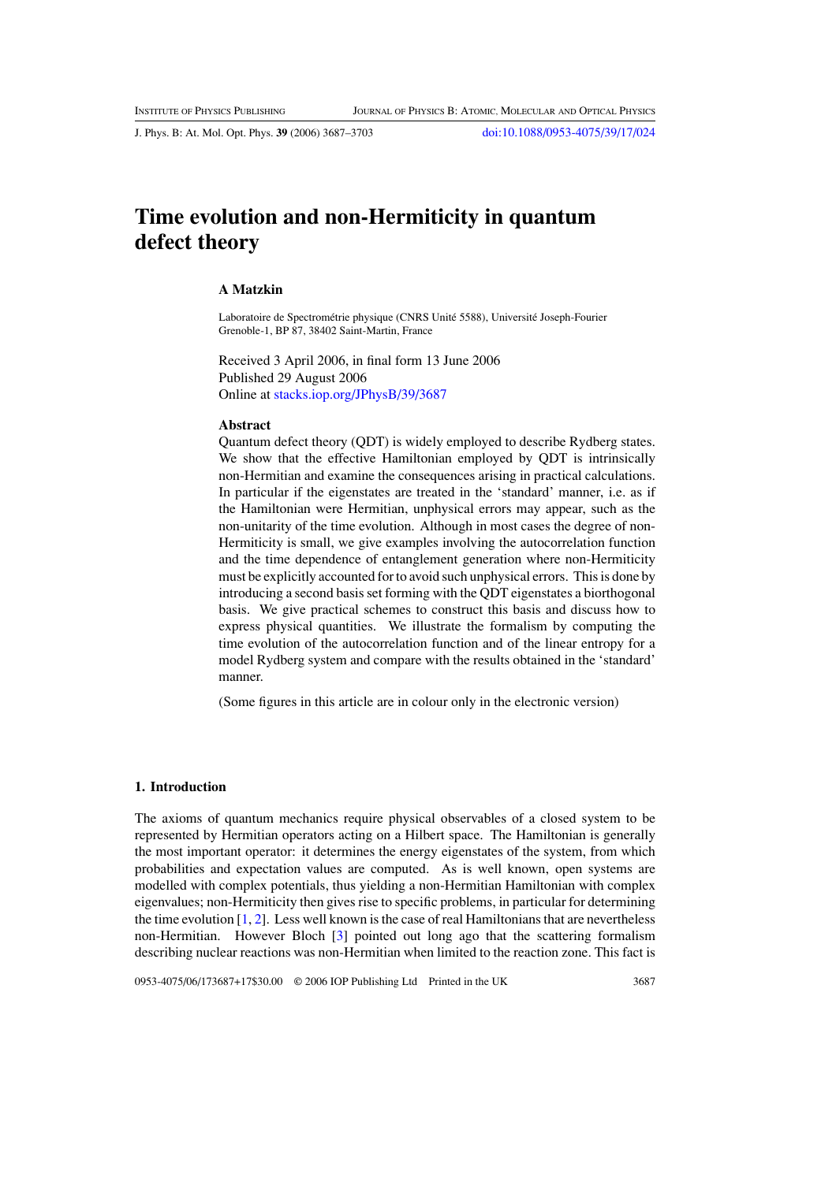J. Phys. B: At. Mol. Opt. Phys. **39** (2006) 3687–3703 [doi:10.1088/0953-4075/39/17/024](http://dx.doi.org/10.1088/0953-4075/39/17/024)

# **Time evolution and non-Hermiticity in quantum defect theory**

# **A Matzkin**

Laboratoire de Spectrométrie physique (CNRS Unité 5588), Université Joseph-Fourier Grenoble-1, BP 87, 38402 Saint-Martin, France

Received 3 April 2006, in final form 13 June 2006 Published 29 August 2006 Online at [stacks.iop.org/JPhysB/39/3687](http://stacks.iop.org/JPhysB/39/3687)

## **Abstract**

Quantum defect theory (QDT) is widely employed to describe Rydberg states. We show that the effective Hamiltonian employed by QDT is intrinsically non-Hermitian and examine the consequences arising in practical calculations. In particular if the eigenstates are treated in the 'standard' manner, i.e. as if the Hamiltonian were Hermitian, unphysical errors may appear, such as the non-unitarity of the time evolution. Although in most cases the degree of non-Hermiticity is small, we give examples involving the autocorrelation function and the time dependence of entanglement generation where non-Hermiticity must be explicitly accounted for to avoid such unphysical errors. This is done by introducing a second basis set forming with the QDT eigenstates a biorthogonal basis. We give practical schemes to construct this basis and discuss how to express physical quantities. We illustrate the formalism by computing the time evolution of the autocorrelation function and of the linear entropy for a model Rydberg system and compare with the results obtained in the 'standard' manner.

(Some figures in this article are in colour only in the electronic version)

#### **1. Introduction**

The axioms of quantum mechanics require physical observables of a closed system to be represented by Hermitian operators acting on a Hilbert space. The Hamiltonian is generally the most important operator: it determines the energy eigenstates of the system, from which probabilities and expectation values are computed. As is well known, open systems are modelled with complex potentials, thus yielding a non-Hermitian Hamiltonian with complex eigenvalues; non-Hermiticity then gives rise to specific problems, in particular for determining the time evolution  $[1, 2]$  $[1, 2]$  $[1, 2]$  $[1, 2]$ . Less well known is the case of real Hamiltonians that are nevertheless non-Hermitian. However Bloch [\[3](#page-16-0)] pointed out long ago that the scattering formalism describing nuclear reactions was non-Hermitian when limited to the reaction zone. This fact is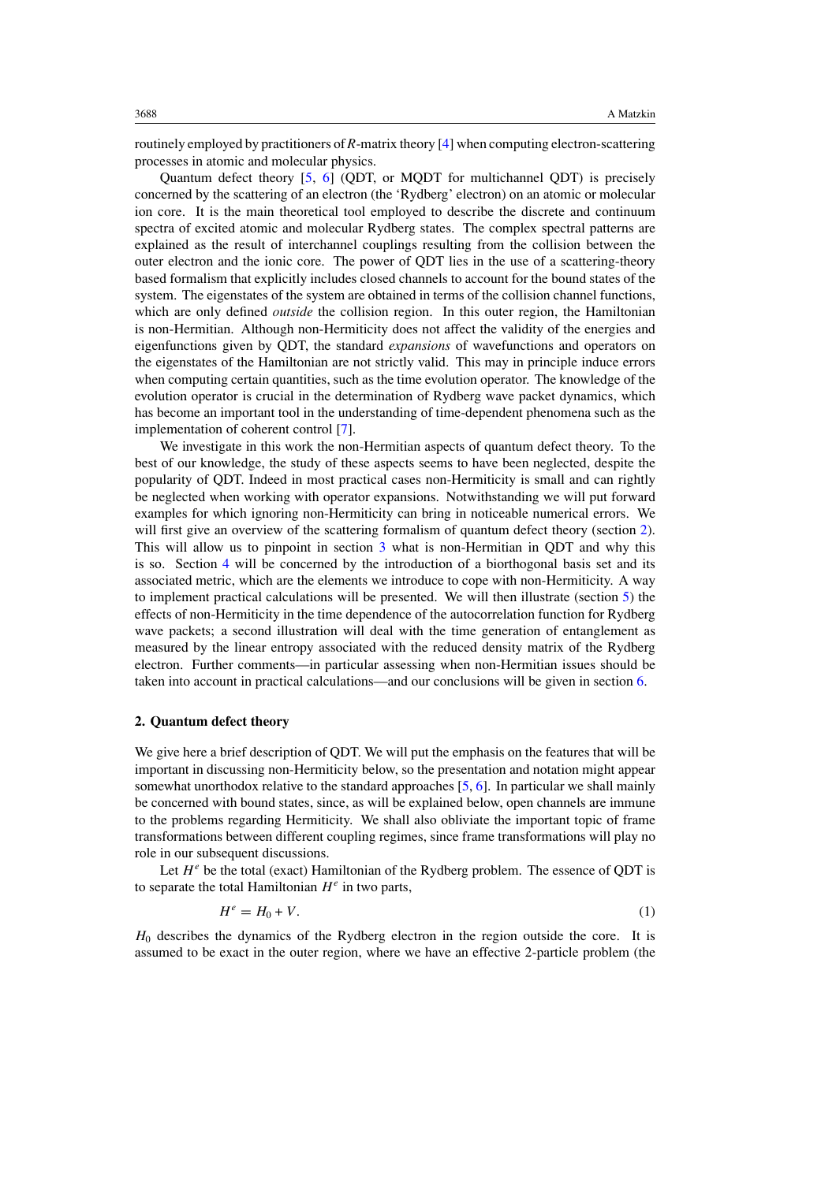<span id="page-1-0"></span>routinely employed by practitioners of *R*-matrix theory [\[4\]](#page-16-0) when computing electron-scattering processes in atomic and molecular physics.

Quantum defect theory [\[5](#page-16-0), [6\]](#page-16-0) (QDT, or MQDT for multichannel QDT) is precisely concerned by the scattering of an electron (the 'Rydberg' electron) on an atomic or molecular ion core. It is the main theoretical tool employed to describe the discrete and continuum spectra of excited atomic and molecular Rydberg states. The complex spectral patterns are explained as the result of interchannel couplings resulting from the collision between the outer electron and the ionic core. The power of QDT lies in the use of a scattering-theory based formalism that explicitly includes closed channels to account for the bound states of the system. The eigenstates of the system are obtained in terms of the collision channel functions, which are only defined *outside* the collision region. In this outer region, the Hamiltonian is non-Hermitian. Although non-Hermiticity does not affect the validity of the energies and eigenfunctions given by QDT, the standard *expansions* of wavefunctions and operators on the eigenstates of the Hamiltonian are not strictly valid. This may in principle induce errors when computing certain quantities, such as the time evolution operator. The knowledge of the evolution operator is crucial in the determination of Rydberg wave packet dynamics, which has become an important tool in the understanding of time-dependent phenomena such as the implementation of coherent control [\[7\]](#page-16-0).

We investigate in this work the non-Hermitian aspects of quantum defect theory. To the best of our knowledge, the study of these aspects seems to have been neglected, despite the popularity of QDT. Indeed in most practical cases non-Hermiticity is small and can rightly be neglected when working with operator expansions. Notwithstanding we will put forward examples for which ignoring non-Hermiticity can bring in noticeable numerical errors. We will first give an overview of the scattering formalism of quantum defect theory (section 2). This will allow us to pinpoint in section [3](#page-3-0) what is non-Hermitian in QDT and why this is so. Section [4](#page-5-0) will be concerned by the introduction of a biorthogonal basis set and its associated metric, which are the elements we introduce to cope with non-Hermiticity. A way to implement practical calculations will be presented. We will then illustrate (section [5\)](#page-10-0) the effects of non-Hermiticity in the time dependence of the autocorrelation function for Rydberg wave packets; a second illustration will deal with the time generation of entanglement as measured by the linear entropy associated with the reduced density matrix of the Rydberg electron. Further comments—in particular assessing when non-Hermitian issues should be taken into account in practical calculations—and our conclusions will be given in section [6.](#page-14-0)

## **2. Quantum defect theory**

We give here a brief description of ODT. We will put the emphasis on the features that will be important in discussing non-Hermiticity below, so the presentation and notation might appear somewhat unorthodox relative to the standard approaches [\[5,](#page-16-0) [6\]](#page-16-0). In particular we shall mainly be concerned with bound states, since, as will be explained below, open channels are immune to the problems regarding Hermiticity. We shall also obliviate the important topic of frame transformations between different coupling regimes, since frame transformations will play no role in our subsequent discussions.

Let  $H^e$  be the total (exact) Hamiltonian of the Rydberg problem. The essence of ODT is to separate the total Hamiltonian  $H^e$  in two parts,

$$
H^e = H_0 + V. \tag{1}
$$

 $H_0$  describes the dynamics of the Rydberg electron in the region outside the core. It is assumed to be exact in the outer region, where we have an effective 2-particle problem (the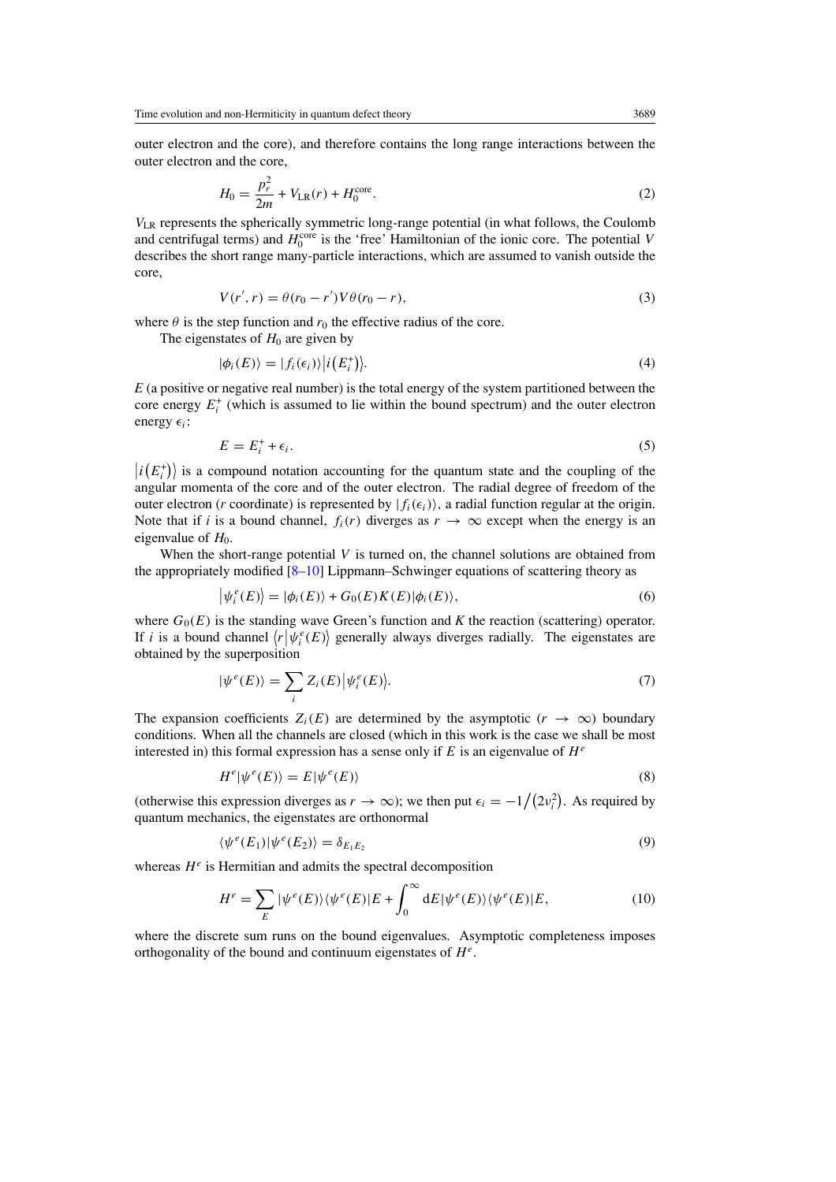<span id="page-2-0"></span>outer electron and the core), and therefore contains the long range interactions between the outer electron and the core,

$$
H_0 = \frac{p_r^2}{2m} + V_{LR}(r) + H_0^{\text{core}}.
$$
 (2)

*V*LR represents the spherically symmetric long-range potential (in what follows, the Coulomb and centrifugal terms) and  $H_0^{\text{core}}$  is the 'free' Hamiltonian of the ionic core. The potential *V* describes the short range many-particle interactions, which are assumed to vanish outside the core,

$$
V(r',r) = \theta(r_0 - r')V\theta(r_0 - r),
$$
\n(3)

where  $\theta$  is the step function and  $r_0$  the effective radius of the core.

The eigenstates of  $H_0$  are given by

$$
|\phi_i(E)\rangle = |f_i(\epsilon_i)\rangle |i(E_i^+)\rangle. \tag{4}
$$

*E* (a positive or negative real number) is the total energy of the system partitioned between the core energy  $E_i^+$  (which is assumed to lie within the bound spectrum) and the outer electron energy  $\epsilon_i$ :

$$
E = E_i^+ + \epsilon_i. \tag{5}
$$

 $\vert i(E_i^{\dagger})\vert$  is a compound notation accounting for the quantum state and the coupling of the angular momenta of the core and of the outer electron. The radial degree of freedom of the outer electron (*r* coordinate) is represented by  $|f_i(\epsilon_i)\rangle$ , a radial function regular at the origin. Note that if *i* is a bound channel,  $f_i(r)$  diverges as  $r \to \infty$  except when the energy is an eigenvalue of  $H_0$ .

When the short-range potential *V* is turned on, the channel solutions are obtained from the appropriately modified [\[8–10](#page-16-0)] Lippmann–Schwinger equations of scattering theory as

$$
\left|\psi_i^e(E)\right\rangle = \left|\phi_i(E)\right\rangle + G_0(E)K(E)|\phi_i(E)\rangle,\tag{6}
$$

where  $G_0(E)$  is the standing wave Green's function and *K* the reaction (scattering) operator. If *i* is a bound channel  $\langle r | \psi_i^e(E) \rangle$  generally always diverges radially. The eigenstates are obtained by the superposition

$$
|\psi^{e}(E)\rangle = \sum_{i} Z_{i}(E) |\psi^{e}_{i}(E)\rangle.
$$
 (7)

The expansion coefficients  $Z_i(E)$  are determined by the asymptotic  $(r \to \infty)$  boundary conditions. When all the channels are closed (which in this work is the case we shall be most interested in) this formal expression has a sense only if  $E$  is an eigenvalue of  $H^e$ 

$$
H^{e}|\psi^{e}(E)\rangle = E|\psi^{e}(E)\rangle
$$
\n(8)

(otherwise this expression diverges as  $r \to \infty$ ); we then put  $\epsilon_i = -1/(2v_i^2)$ . As required by quantum mechanics, the eigenstates are orthonormal

$$
\langle \psi^e(E_1) | \psi^e(E_2) \rangle = \delta_{E_1 E_2} \tag{9}
$$

whereas  $H^e$  is Hermitian and admits the spectral decomposition

$$
H^{e} = \sum_{E} |\psi^{e}(E)\rangle\langle\psi^{e}(E)|E + \int_{0}^{\infty} dE |\psi^{e}(E)\rangle\langle\psi^{e}(E)|E, \tag{10}
$$

where the discrete sum runs on the bound eigenvalues. Asymptotic completeness imposes orthogonality of the bound and continuum eigenstates of *H<sup>e</sup>*.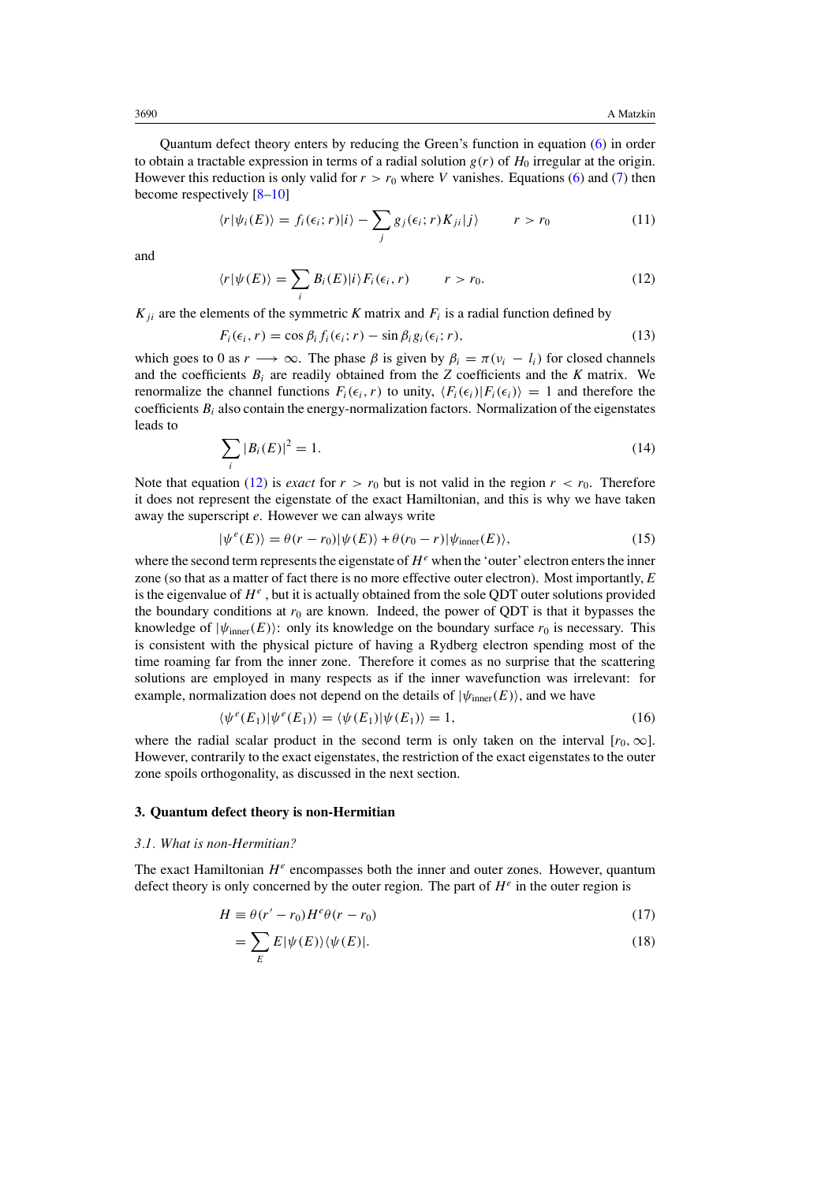<span id="page-3-0"></span>Quantum defect theory enters by reducing the Green's function in equation [\(6\)](#page-2-0) in order to obtain a tractable expression in terms of a radial solution  $g(r)$  of  $H_0$  irregular at the origin. However this reduction is only valid for  $r > r_0$  where *V* vanishes. Equations [\(6\)](#page-2-0) and [\(7\)](#page-2-0) then become respectively [\[8–10\]](#page-16-0)

$$
\langle r|\psi_i(E)\rangle = f_i(\epsilon_i; r)|i\rangle - \sum_j g_j(\epsilon_i; r)K_{ji}|j\rangle \qquad r > r_0 \qquad (11)
$$

and

$$
\langle r|\psi(E)\rangle = \sum_{i} B_i(E)|i\rangle F_i(\epsilon_i, r) \qquad r > r_0. \tag{12}
$$

 $K_{ii}$  are the elements of the symmetric *K* matrix and  $F_i$  is a radial function defined by

$$
F_i(\epsilon_i, r) = \cos \beta_i f_i(\epsilon_i; r) - \sin \beta_i g_i(\epsilon_i; r), \qquad (13)
$$

which goes to 0 as  $r \rightarrow \infty$ . The phase  $\beta$  is given by  $\beta_i = \pi(v_i - l_i)$  for closed channels and the coefficients  $B_i$  are readily obtained from the  $Z$  coefficients and the  $K$  matrix. We renormalize the channel functions  $F_i(\epsilon_i, r)$  to unity,  $\langle F_i(\epsilon_i)|F_i(\epsilon_i)\rangle = 1$  and therefore the coefficients  $B_i$  also contain the energy-normalization factors. Normalization of the eigenstates leads to

$$
\sum_{i} |B_i(E)|^2 = 1.
$$
\n(14)

Note that equation (12) is *exact* for  $r > r_0$  but is not valid in the region  $r < r_0$ . Therefore it does not represent the eigenstate of the exact Hamiltonian, and this is why we have taken away the superscript *e*. However we can always write

$$
|\psi^{e}(E)\rangle = \theta(r - r_0)|\psi(E)\rangle + \theta(r_0 - r)|\psi_{\text{inner}}(E)\rangle, \tag{15}
$$

where the second term represents the eigenstate of  $H<sup>e</sup>$  when the 'outer' electron enters the inner zone (so that as a matter of fact there is no more effective outer electron). Most importantly, *E* is the eigenvalue of  $H^e$ , but it is actually obtained from the sole QDT outer solutions provided the boundary conditions at  $r_0$  are known. Indeed, the power of QDT is that it bypasses the knowledge of  $|\psi_{\text{inner}}(E)\rangle$ : only its knowledge on the boundary surface  $r_0$  is necessary. This is consistent with the physical picture of having a Rydberg electron spending most of the time roaming far from the inner zone. Therefore it comes as no surprise that the scattering solutions are employed in many respects as if the inner wavefunction was irrelevant: for example, normalization does not depend on the details of  $|\psi_{\text{inner}}(E)\rangle$ , and we have

$$
\langle \psi^e(E_1)|\psi^e(E_1)\rangle = \langle \psi(E_1)|\psi(E_1)\rangle = 1,
$$
\n(16)

where the radial scalar product in the second term is only taken on the interval  $[r_0, \infty]$ . However, contrarily to the exact eigenstates, the restriction of the exact eigenstates to the outer zone spoils orthogonality, as discussed in the next section.

## **3. Quantum defect theory is non-Hermitian**

#### *3.1. What is non-Hermitian?*

The exact Hamiltonian  $H^e$  encompasses both the inner and outer zones. However, quantum defect theory is only concerned by the outer region. The part of  $H<sup>e</sup>$  in the outer region is

$$
H \equiv \theta(r'-r_0)H^e\theta(r-r_0) \tag{17}
$$

$$
=\sum_{E} E|\psi(E)\rangle\langle\psi(E)|.\tag{18}
$$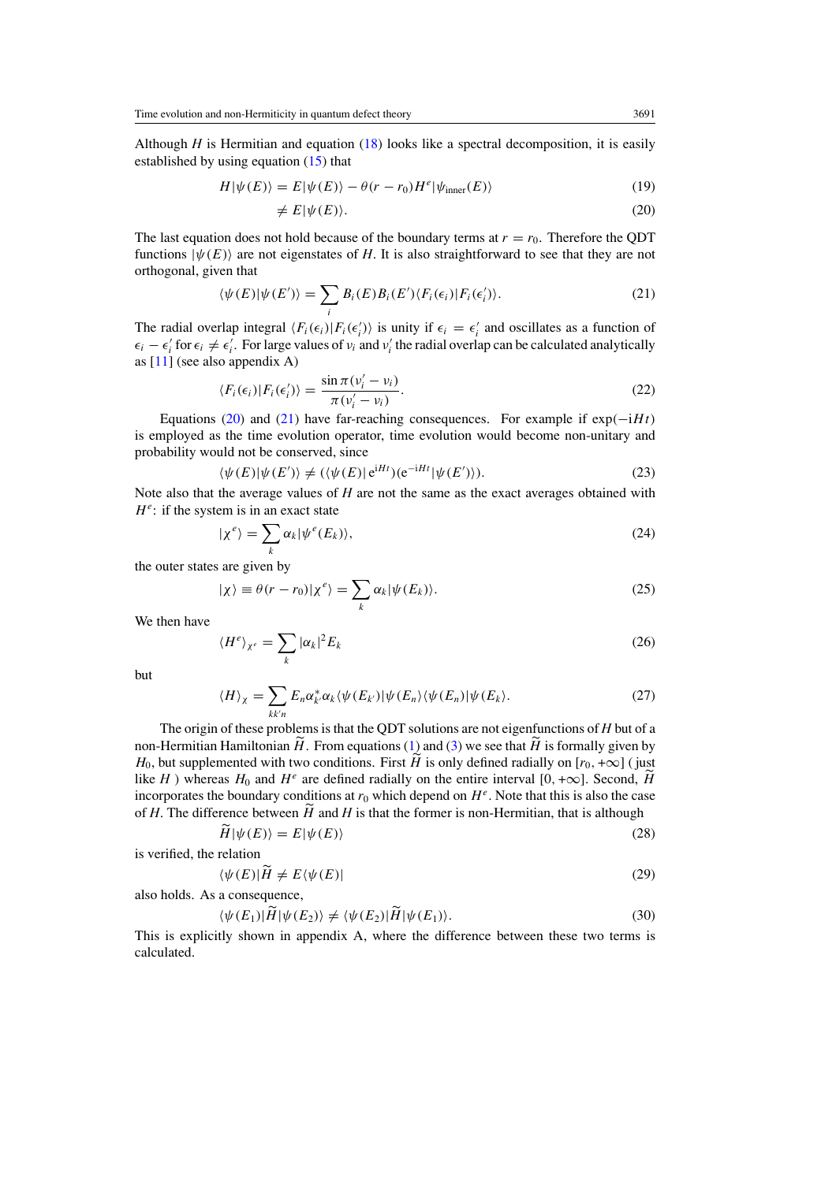<span id="page-4-0"></span>Although  $H$  is Hermitian and equation  $(18)$  looks like a spectral decomposition, it is easily established by using equation [\(15\)](#page-3-0) that

$$
H|\psi(E)\rangle = E|\psi(E)\rangle - \theta(r - r_0)H^e|\psi_{\text{inner}}(E)\rangle
$$
\n(19)

$$
\neq E|\psi(E)\rangle.
$$
 (20)

The last equation does not hold because of the boundary terms at  $r = r_0$ . Therefore the QDT functions  $|\psi(E)\rangle$  are not eigenstates of *H*. It is also straightforward to see that they are not orthogonal, given that

$$
\langle \psi(E) | \psi(E') \rangle = \sum_{i} B_i(E) B_i(E') \langle F_i(\epsilon_i) | F_i(\epsilon'_i) \rangle.
$$
 (21)

The radial overlap integral  $\langle F_i(\epsilon_i) | F_i(\epsilon_i') \rangle$  is unity if  $\epsilon_i = \epsilon_i'$  and oscillates as a function of  $\epsilon_i - \epsilon'_i$  for  $\epsilon_i \neq \epsilon'_i$ . For large values of  $v_i$  and  $v'_i$  the radial overlap can be calculated analytically as  $[11]$  $[11]$  (see also appendix A)

$$
\langle F_i(\epsilon_i) | F_i(\epsilon'_i) \rangle = \frac{\sin \pi (v'_i - v_i)}{\pi (v'_i - v_i)}.
$$
\n(22)

Equations (20) and (21) have far-reaching consequences. For example if exp*(*−i*Ht)* is employed as the time evolution operator, time evolution would become non-unitary and probability would not be conserved, since

$$
\langle \psi(E) | \psi(E') \rangle \neq (\langle \psi(E) | e^{iHt}) (e^{-iHt} | \psi(E') \rangle). \tag{23}
$$

Note also that the average values of *H* are not the same as the exact averages obtained with  $H^e$ : if the system is in an exact state

$$
|\chi^e\rangle = \sum_k \alpha_k |\psi^e(E_k)\rangle, \tag{24}
$$

the outer states are given by

$$
|\chi\rangle \equiv \theta(r - r_0)|\chi^e\rangle = \sum_k \alpha_k |\psi(E_k)\rangle.
$$
 (25)

We then have

$$
\langle H^e \rangle_{\chi^e} = \sum_k |\alpha_k|^2 E_k \tag{26}
$$

but

$$
\langle H \rangle_{\chi} = \sum_{kk'n} E_n \alpha_{k'}^* \alpha_k \langle \psi(E_{k'}) | \psi(E_n) \rangle \langle \psi(E_n) | \psi(E_k) \rangle.
$$
 (27)

The origin of these problems is that the QDT solutions are not eigenfunctions of *H* but of a non-Hermitian Hamiltonian  $\tilde{H}$ . From equations [\(1\)](#page-1-0) and [\(3\)](#page-2-0) we see that  $\tilde{H}$  is formally given by *H*<sub>0</sub>, but supplemented with two conditions. First  $\tilde{H}$  is only defined radially on [*r*<sub>0</sub>, +∞] (just like *H*) whereas  $H_0$  and  $H^e$  are defined radially on the entire interval  $[0, +\infty]$ *.* Second, *H* incorporates the boundary conditions at  $r_0$  which depend on  $H^e$ . Note that this is also the case of *H*. The difference between  $\widetilde{H}$  and *H* is that the former is non-Hermitian, that is although

$$
\tilde{H}|\psi(E)\rangle = E|\psi(E)\rangle\tag{28}
$$

is verified, the relation

$$
\langle \psi(E) | \widetilde{H} \neq E \langle \psi(E) |
$$
 (29)

also holds. As a consequence,

$$
\langle \psi(E_1)|\tilde{H}|\psi(E_2)\rangle \neq \langle \psi(E_2)|\tilde{H}|\psi(E_1)\rangle. \tag{30}
$$

This is explicitly shown in appendix A, where the difference between these two terms is calculated.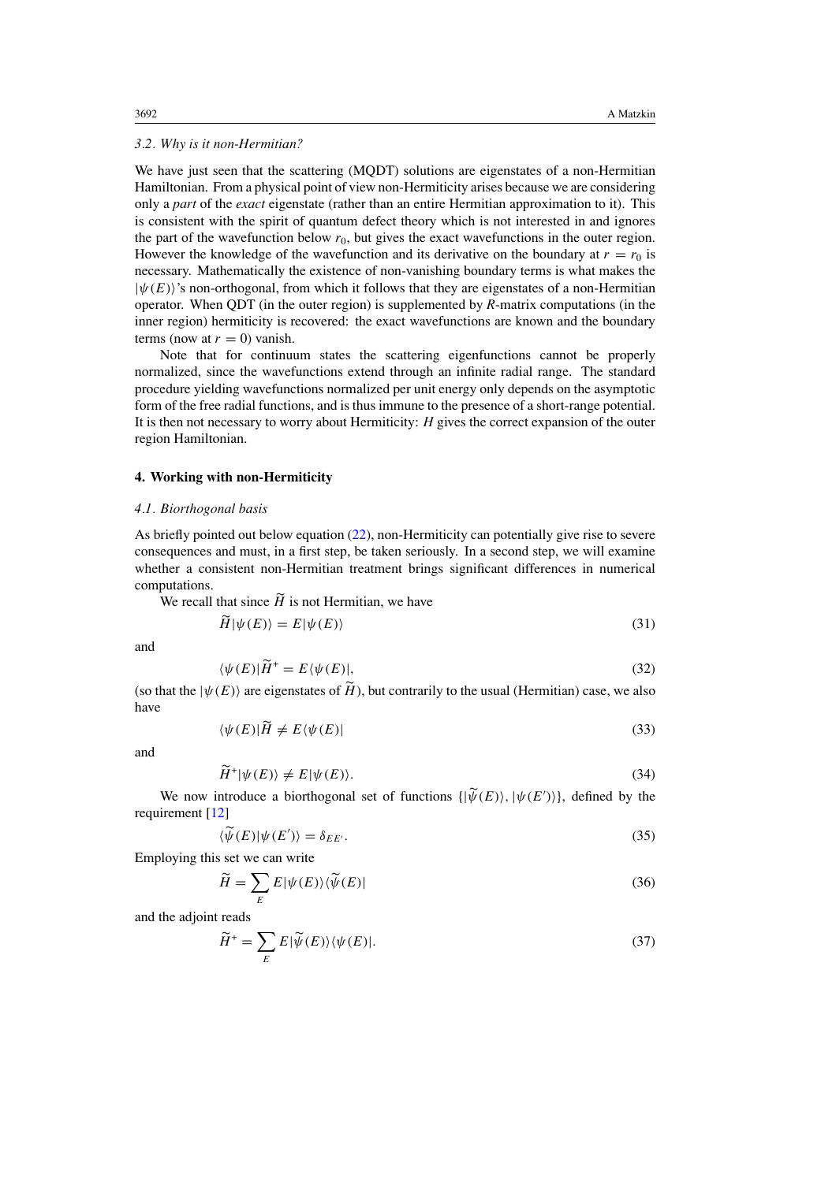## <span id="page-5-0"></span>*3.2. Why is it non-Hermitian?*

We have just seen that the scattering (MQDT) solutions are eigenstates of a non-Hermitian Hamiltonian. From a physical point of view non-Hermiticity arises because we are considering only a *part* of the *exact* eigenstate (rather than an entire Hermitian approximation to it). This is consistent with the spirit of quantum defect theory which is not interested in and ignores the part of the wavefunction below  $r_0$ , but gives the exact wavefunctions in the outer region. However the knowledge of the wavefunction and its derivative on the boundary at  $r = r_0$  is necessary. Mathematically the existence of non-vanishing boundary terms is what makes the  $|\psi(E)\rangle$ 's non-orthogonal, from which it follows that they are eigenstates of a non-Hermitian operator. When QDT (in the outer region) is supplemented by *R*-matrix computations (in the inner region) hermiticity is recovered: the exact wavefunctions are known and the boundary terms (now at  $r = 0$ ) vanish.

Note that for continuum states the scattering eigenfunctions cannot be properly normalized, since the wavefunctions extend through an infinite radial range. The standard procedure yielding wavefunctions normalized per unit energy only depends on the asymptotic form of the free radial functions, and is thus immune to the presence of a short-range potential. It is then not necessary to worry about Hermiticity: *H* gives the correct expansion of the outer region Hamiltonian.

#### **4. Working with non-Hermiticity**

#### *4.1. Biorthogonal basis*

As briefly pointed out below equation [\(22\)](#page-4-0), non-Hermiticity can potentially give rise to severe consequences and must, in a first step, be taken seriously. In a second step, we will examine whether a consistent non-Hermitian treatment brings significant differences in numerical computations.

We recall that since  $\tilde{H}$  is not Hermitian, we have

$$
\widetilde{H}|\psi(E)\rangle = E|\psi(E)\rangle\tag{31}
$$

and

$$
\langle \psi(E) | \widetilde{H}^+ = E \langle \psi(E) |, \tag{32}
$$

(so that the  $|\psi(E)\rangle$  are eigenstates of  $\hat{H}$ ), but contrarily to the usual (Hermitian) case, we also have

$$
\langle \psi(E) | \tilde{H} \neq E \langle \psi(E) |
$$
\n<sup>(33)</sup>

and

$$
\widetilde{H}^+|\psi(E)\rangle \neq E|\psi(E)\rangle. \tag{34}
$$

We now introduce a biorthogonal set of functions  $\{|\widetilde{\psi}(E)\rangle, |\psi(E')\rangle\}$ , defined by the requirement [\[12\]](#page-16-0)

$$
\langle \widetilde{\psi}(E) | \psi(E') \rangle = \delta_{EE'}.
$$
\n(35)

Employing this set we can write

$$
\widetilde{H} = \sum_{E} E|\psi(E)\rangle\langle\widetilde{\psi}(E)|\tag{36}
$$

and the adjoint reads

$$
\widetilde{H}^+ = \sum_E E|\widetilde{\psi}(E)\rangle\langle\psi(E)|. \tag{37}
$$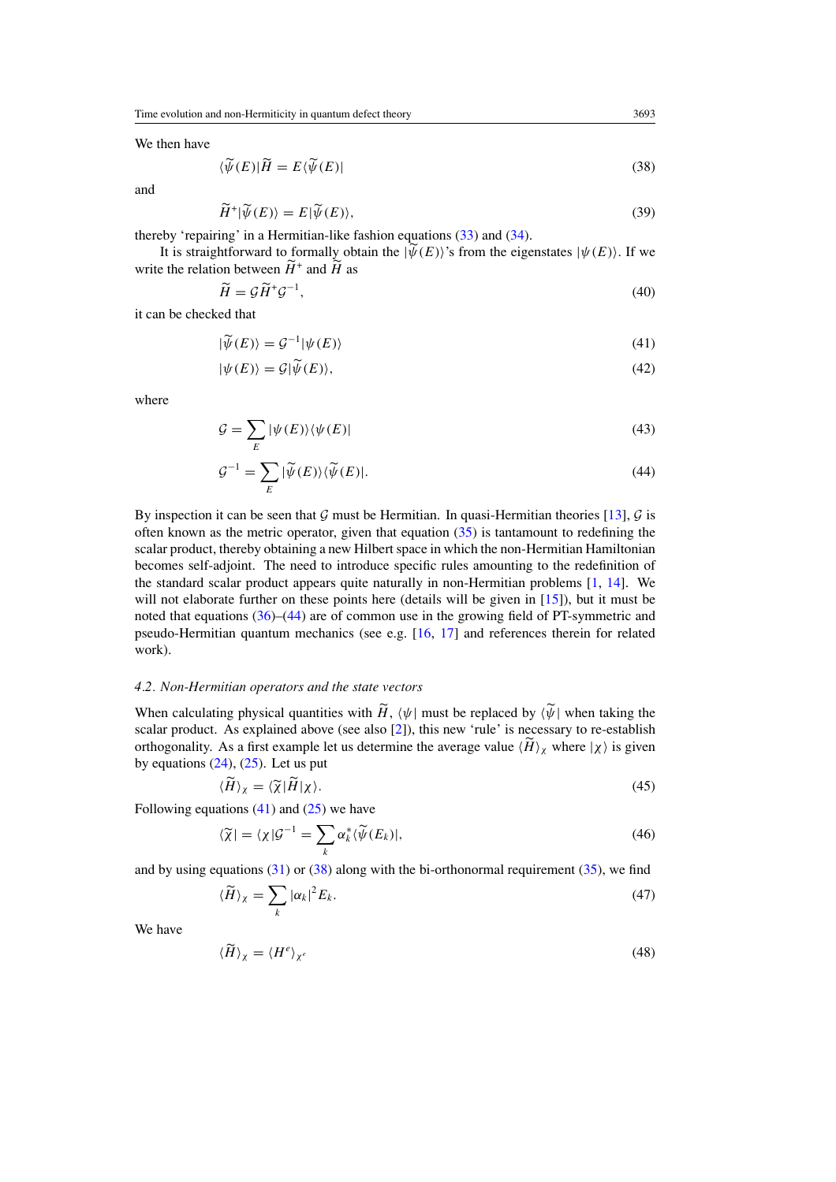<span id="page-6-0"></span>We then have

$$
\langle \widetilde{\psi}(E)|\widetilde{H} = E\langle \widetilde{\psi}(E)|\tag{38}
$$

and

$$
\widetilde{H}^+|\widetilde{\psi}(E)\rangle = E|\widetilde{\psi}(E)\rangle,\tag{39}
$$

thereby 'repairing' in a Hermitian-like fashion equations [\(33\)](#page-5-0) and [\(34\)](#page-5-0).

It is straightforward to formally obtain the  $|\psi(E)\rangle$ 's from the eigenstates  $|\psi(E)\rangle$ . If we write the relation between  $\widetilde{H}^+$  and  $\widetilde{H}$  as

$$
\widetilde{H} = \mathcal{G}\widetilde{H}^+\mathcal{G}^{-1},\tag{40}
$$

it can be checked that

$$
|\widetilde{\psi}(E)\rangle = \mathcal{G}^{-1}|\psi(E)\rangle\tag{41}
$$

$$
|\psi(E)\rangle = \mathcal{G}|\widetilde{\psi}(E)\rangle,\tag{42}
$$

where

$$
\mathcal{G} = \sum_{E} |\psi(E)\rangle\langle\psi(E)| \tag{43}
$$

$$
\mathcal{G}^{-1} = \sum_{E} |\widetilde{\psi}(E)\rangle \langle \widetilde{\psi}(E)|. \tag{44}
$$

By inspection it can be seen that G must be Hermitian. In quasi-Hermitian theories [\[13\]](#page-16-0), G is often known as the metric operator, given that equation  $(35)$  is tantamount to redefining the scalar product, thereby obtaining a new Hilbert space in which the non-Hermitian Hamiltonian becomes self-adjoint. The need to introduce specific rules amounting to the redefinition of the standard scalar product appears quite naturally in non-Hermitian problems  $[1, 14]$  $[1, 14]$  $[1, 14]$ . We will not elaborate further on these points here (details will be given in [\[15\]](#page-16-0)), but it must be noted that equations [\(36\)](#page-5-0)–(44) are of common use in the growing field of PT-symmetric and pseudo-Hermitian quantum mechanics (see e.g. [\[16,](#page-16-0) [17](#page-16-0)] and references therein for related work).

## *4.2. Non-Hermitian operators and the state vectors*

When calculating physical quantities with  $H$ ,  $\langle \psi |$  must be replaced by  $\langle \psi |$  when taking the scalar product. As explained above (see also [\[2](#page-16-0)]), this new 'rule' is necessary to re-establish orthogonality. As a first example let us determine the average value  $\langle \tilde{H} \rangle_{\chi}$  where  $|\chi \rangle$  is given by equations  $(24)$ ,  $(25)$ . Let us put

$$
\langle \widetilde{H} \rangle_{\chi} = \langle \widetilde{\chi} | \widetilde{H} | \chi \rangle. \tag{45}
$$

Following equations  $(41)$  and  $(25)$  we have

$$
\langle \widetilde{\chi} \vert = \langle \chi \vert \mathcal{G}^{-1} = \sum_{k} \alpha_{k}^{*} \langle \widetilde{\psi}(E_{k}) \vert, \tag{46}
$$

and by using equations  $(31)$  or  $(38)$  along with the bi-orthonormal requirement  $(35)$ , we find

$$
\langle \widetilde{H} \rangle_{\chi} = \sum_{k} |\alpha_{k}|^{2} E_{k}.\tag{47}
$$

We have

$$
\langle \widetilde{H} \rangle_{\chi} = \langle H^e \rangle_{\chi^e} \tag{48}
$$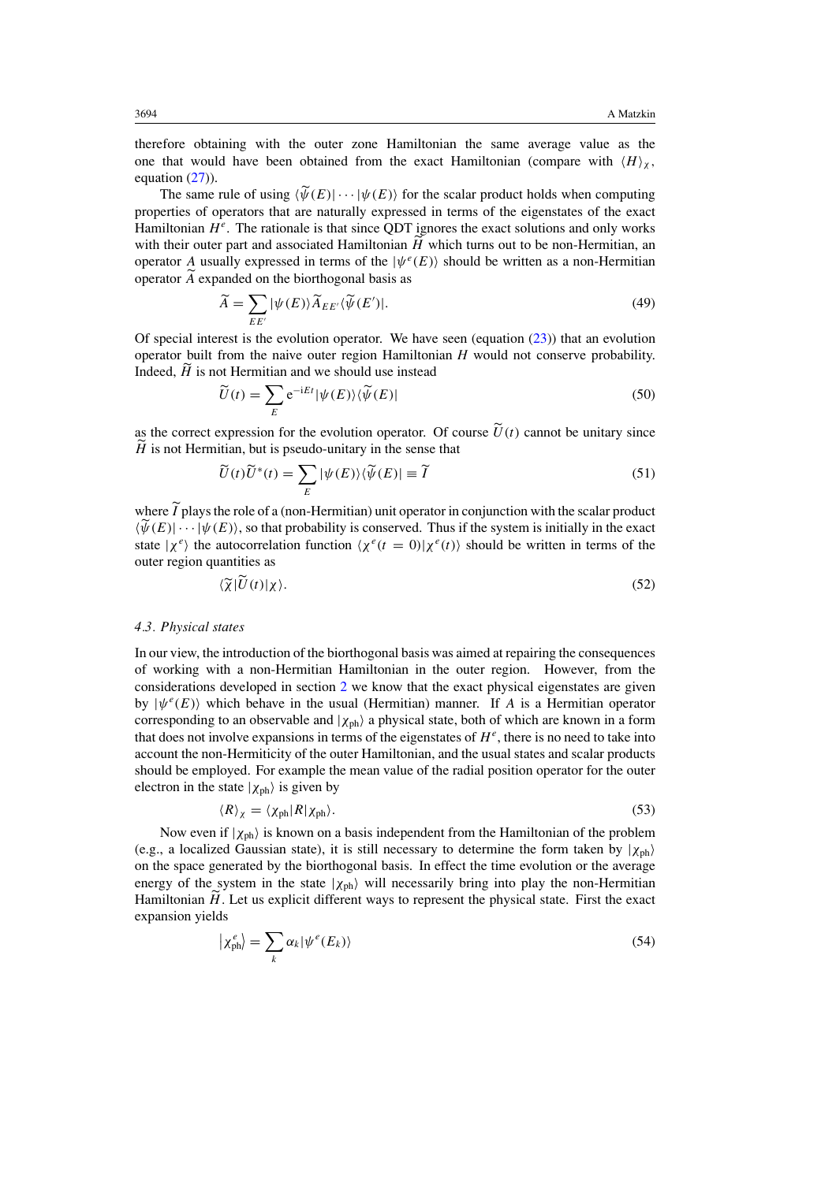<span id="page-7-0"></span>therefore obtaining with the outer zone Hamiltonian the same average value as the one that would have been obtained from the exact Hamiltonian (compare with  $\langle H \rangle_{\chi}$ , equation  $(27)$ ).

The same rule of using  $\langle \psi(E) | \cdots | \psi(E) \rangle$  for the scalar product holds when computing properties of operators that are naturally expressed in terms of the eigenstates of the exact Hamiltonian  $H^e$ . The rationale is that since QDT ignores the exact solutions and only works with their outer part and associated Hamiltonian  $\tilde{H}$  which turns out to be non-Hermitian, an operator *A* usually expressed in terms of the  $|\psi^e(E)\rangle$  should be written as a non-Hermitian operator *A* expanded on the biorthogonal basis as

$$
\widetilde{A} = \sum_{EE'} |\psi(E)\rangle \widetilde{A}_{EE'} \langle \widetilde{\psi}(E')|.
$$
\n(49)

Of special interest is the evolution operator. We have seen (equation  $(23)$ ) that an evolution operator built from the naive outer region Hamiltonian *H* would not conserve probability. Indeed,  $\hat{H}$  is not Hermitian and we should use instead

$$
\widetilde{U}(t) = \sum_{E} e^{-iEt} |\psi(E)\rangle \langle \widetilde{\psi}(E)| \tag{50}
$$

as the correct expression for the evolution operator. Of course  $\tilde{U}(t)$  cannot be unitary since  $\hat{H}$  is not Hermitian, but is pseudo-unitary in the sense that

$$
\widetilde{U}(t)\widetilde{U}^*(t) = \sum_{E} |\psi(E)\rangle\langle \widetilde{\psi}(E)| \equiv \widetilde{I}
$$
\n(51)

where  $\widetilde{I}$  plays the role of a (non-Hermitian) unit operator in conjunction with the scalar product  $\langle \psi(E) | \cdots | \psi(E) \rangle$ , so that probability is conserved. Thus if the system is initially in the exact state  $|\chi^e\rangle$  the autocorrelation function  $\langle \chi^e(t=0)|\chi^e(t)\rangle$  should be written in terms of the outer region quantities as

$$
\langle \widetilde{\chi} | \widetilde{U}(t) | \chi \rangle. \tag{52}
$$

#### *4.3. Physical states*

In our view, the introduction of the biorthogonal basis was aimed at repairing the consequences of working with a non-Hermitian Hamiltonian in the outer region. However, from the considerations developed in section [2](#page-1-0) we know that the exact physical eigenstates are given by  $|\psi^e(E)\rangle$  which behave in the usual (Hermitian) manner. If *A* is a Hermitian operator corresponding to an observable and  $|\chi_{ph}\rangle$  a physical state, both of which are known in a form that does not involve expansions in terms of the eigenstates of  $H<sup>e</sup>$ , there is no need to take into account the non-Hermiticity of the outer Hamiltonian, and the usual states and scalar products should be employed. For example the mean value of the radial position operator for the outer electron in the state  $|\chi_{ph}\rangle$  is given by

$$
\langle R \rangle_{\chi} = \langle \chi_{\text{ph}} | R | \chi_{\text{ph}} \rangle. \tag{53}
$$

Now even if  $|\chi_{ph}\rangle$  is known on a basis independent from the Hamiltonian of the problem (e.g., a localized Gaussian state), it is still necessary to determine the form taken by  $|\chi_{ph}\rangle$ on the space generated by the biorthogonal basis. In effect the time evolution or the average energy of the system in the state  $|\chi_{ph}\rangle$  will necessarily bring into play the non-Hermitian Hamiltonian  $\tilde{H}$ . Let us explicit different ways to represent the physical state. First the exact expansion yields

$$
|\chi_{\rm ph}^e\rangle = \sum_k \alpha_k |\psi^e(E_k)\rangle
$$
 (54)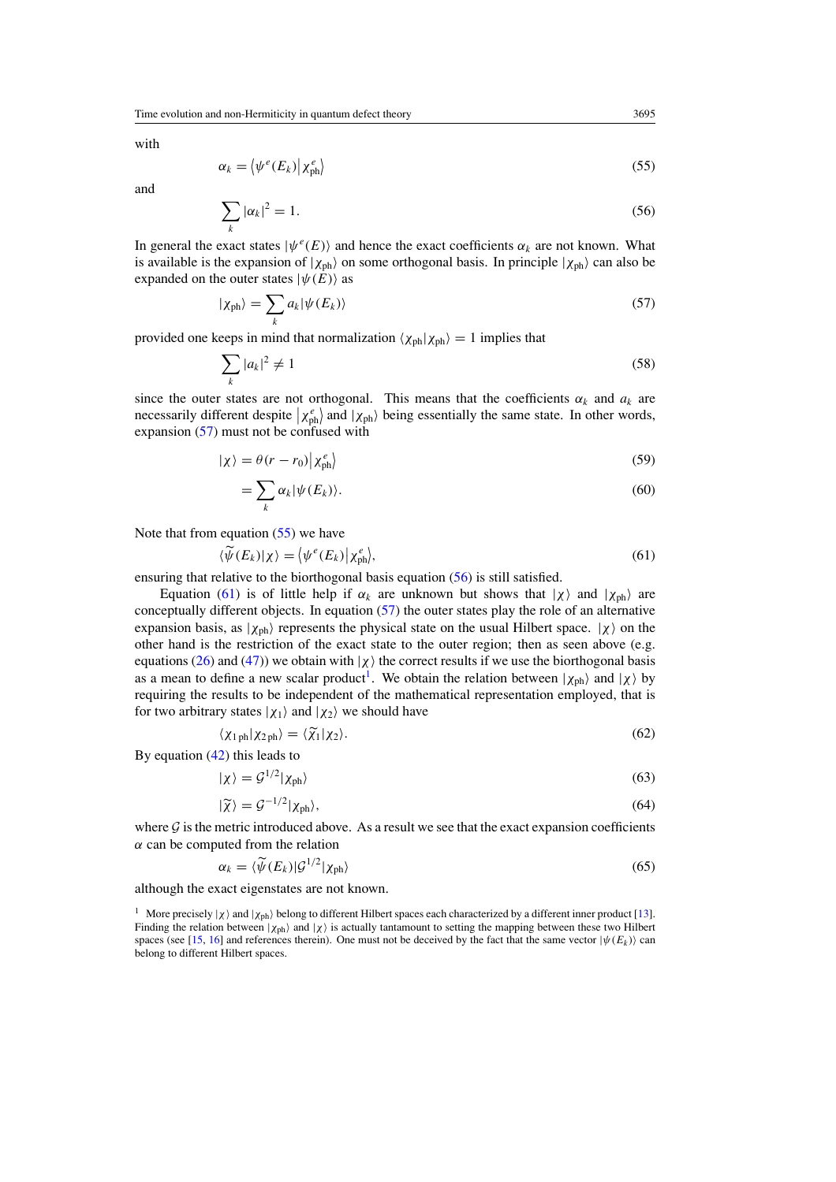<span id="page-8-0"></span>with

$$
\alpha_k = \left\langle \psi^e(E_k) \middle| \chi_{\text{ph}}^e \right\rangle \tag{55}
$$

and

$$
\sum_{k} |\alpha_k|^2 = 1. \tag{56}
$$

In general the exact states  $|\psi^e(E)\rangle$  and hence the exact coefficients  $\alpha_k$  are not known. What is available is the expansion of  $|\chi_{ph}\rangle$  on some orthogonal basis. In principle  $|\chi_{ph}\rangle$  can also be expanded on the outer states  $|\psi(E)\rangle$  as

$$
|\chi_{\rm ph}\rangle = \sum_{k} a_k |\psi(E_k)\rangle \tag{57}
$$

provided one keeps in mind that normalization  $\langle \chi_{ph} | \chi_{ph} \rangle = 1$  implies that

$$
\sum_{k} |a_k|^2 \neq 1 \tag{58}
$$

since the outer states are not orthogonal. This means that the coefficients  $\alpha_k$  and  $a_k$  are necessarily different despite  $|\chi_{ph}^e\rangle$  and  $|\chi_{ph}\rangle$  being essentially the same state. In other words, expansion  $(57)$  must not be confused with

$$
|\chi\rangle = \theta(r - r_0) |\chi_{\rm ph}^e\rangle
$$
 (59)

$$
=\sum_{k}\alpha_{k}|\psi(E_{k})\rangle.
$$
\n(60)

Note that from equation  $(55)$  we have

$$
\langle \widetilde{\psi}(E_k)|\chi\rangle = \langle \psi^e(E_k)|\chi^e_{\text{ph}}\rangle,\tag{61}
$$

ensuring that relative to the biorthogonal basis equation (56) is still satisfied.

Equation (61) is of little help if  $\alpha_k$  are unknown but shows that  $|\chi\rangle$  and  $|\chi_{ph}\rangle$  are conceptually different objects. In equation (57) the outer states play the role of an alternative expansion basis, as  $|\chi_{ph}\rangle$  represents the physical state on the usual Hilbert space.  $|\chi\rangle$  on the other hand is the restriction of the exact state to the outer region; then as seen above (e.g. equations [\(26\)](#page-4-0) and [\(47\)](#page-6-0)) we obtain with  $|\chi\rangle$  the correct results if we use the biorthogonal basis as a mean to define a new scalar product<sup>1</sup>. We obtain the relation between  $|\chi_{ph}\rangle$  and  $|\chi\rangle$  by requiring the results to be independent of the mathematical representation employed, that is for two arbitrary states  $|\chi_1\rangle$  and  $|\chi_2\rangle$  we should have

$$
\langle \chi_{1\text{ ph}} | \chi_{2\text{ ph}} \rangle = \langle \widetilde{\chi}_1 | \chi_2 \rangle. \tag{62}
$$

By equation  $(42)$  this leads to

$$
|\chi\rangle = \mathcal{G}^{1/2}|\chi_{\text{ph}}\rangle\tag{63}
$$

$$
|\widetilde{\chi}\rangle = \mathcal{G}^{-1/2}|\chi_{\text{ph}}\rangle,\tag{64}
$$

where  $\mathcal G$  is the metric introduced above. As a result we see that the exact expansion coefficients *α* can be computed from the relation

$$
\alpha_k = \langle \widetilde{\psi}(E_k) | \mathcal{G}^{1/2} | \chi_{\text{ph}} \rangle \tag{65}
$$

although the exact eigenstates are not known.

<sup>&</sup>lt;sup>1</sup> More precisely  $|\chi\rangle$  and  $|\chi_{ph}\rangle$  belong to different Hilbert spaces each characterized by a different inner product [\[13\]](#page-16-0). Finding the relation between  $|\chi_{ph}\rangle$  and  $|\chi\rangle$  is actually tantamount to setting the mapping between these two Hilbert spaces (see [\[15](#page-16-0), [16](#page-16-0)] and references therein). One must not be deceived by the fact that the same vector  $|\psi(E_k)\rangle$  can belong to different Hilbert spaces.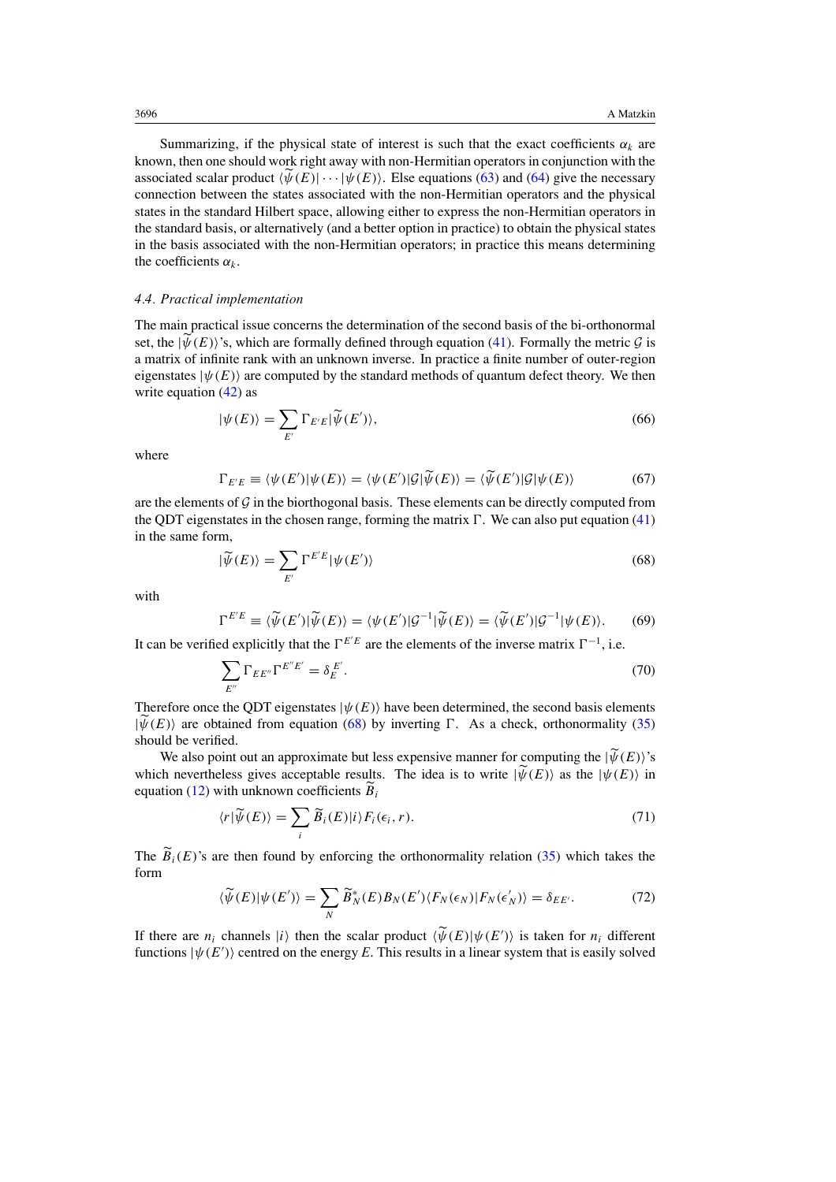<span id="page-9-0"></span>Summarizing, if the physical state of interest is such that the exact coefficients  $\alpha_k$  are known, then one should work right away with non-Hermitian operators in conjunction with the associated scalar product  $\langle \psi(E) | \cdots | \psi(E) \rangle$ . Else equations [\(63\)](#page-8-0) and [\(64\)](#page-8-0) give the necessary connection between the states associated with the non-Hermitian operators and the physical states in the standard Hilbert space, allowing either to express the non-Hermitian operators in the standard basis, or alternatively (and a better option in practice) to obtain the physical states in the basis associated with the non-Hermitian operators; in practice this means determining the coefficients  $\alpha_k$ .

# *4.4. Practical implementation*

The main practical issue concerns the determination of the second basis of the bi-orthonormal set, the  $|\psi(E)\rangle$ 's, which are formally defined through equation [\(41\)](#page-6-0). Formally the metric  $\mathcal G$  is a matrix of infinite rank with an unknown inverse. In practice a finite number of outer-region eigenstates  $|\psi(E)\rangle$  are computed by the standard methods of quantum defect theory. We then write equation  $(42)$  as

$$
|\psi(E)\rangle = \sum_{E'} \Gamma_{E'E} |\widetilde{\psi}(E')\rangle, \tag{66}
$$

where

$$
\Gamma_{E'E} \equiv \langle \psi(E') | \psi(E) \rangle = \langle \psi(E') | \mathcal{G} | \widetilde{\psi}(E) \rangle = \langle \widetilde{\psi}(E') | \mathcal{G} | \psi(E) \rangle \tag{67}
$$

are the elements of  $G$  in the biorthogonal basis. These elements can be directly computed from the ODT eigenstates in the chosen range, forming the matrix  $\Gamma$ . We can also put equation [\(41\)](#page-6-0) in the same form,

$$
|\widetilde{\psi}(E)\rangle = \sum_{E'} \Gamma^{E'E} |\psi(E')\rangle \tag{68}
$$

with

$$
\Gamma^{E'E} \equiv \langle \widetilde{\psi}(E') | \widetilde{\psi}(E) \rangle = \langle \psi(E') | \mathcal{G}^{-1} | \widetilde{\psi}(E) \rangle = \langle \widetilde{\psi}(E') | \mathcal{G}^{-1} | \psi(E) \rangle. \tag{69}
$$

It can be verified explicitly that the  $\Gamma^{E/E}$  are the elements of the inverse matrix  $\Gamma^{-1}$ , i.e.

$$
\sum_{E''} \Gamma_{EE''} \Gamma^{E''E'} = \delta_E^{E'}.
$$
\n(70)

Therefore once the QDT eigenstates  $|\psi(E)\rangle$  have been determined, the second basis elements  $|\psi(E)\rangle$  are obtained from equation (68) by inverting  $\Gamma$ . As a check, orthonormality [\(35\)](#page-5-0) should be verified.

We also point out an approximate but less expensive manner for computing the  $|\psi(E)\rangle$ 's which nevertheless gives acceptable results. The idea is to write  $|\psi(E)\rangle$  as the  $|\psi(E)\rangle$  in equation [\(12\)](#page-3-0) with unknown coefficients  $B_i$ 

$$
\langle r|\widetilde{\psi}(E)\rangle = \sum_{i} \widetilde{B}_{i}(E)|i\rangle F_{i}(\epsilon_{i}, r). \tag{71}
$$

The  $B_i(E)$ 's are then found by enforcing the orthonormality relation [\(35\)](#page-5-0) which takes the form

$$
\langle \widetilde{\psi}(E)|\psi(E')\rangle = \sum_{N} \widetilde{B}_{N}^{*}(E)B_{N}(E')\langle F_{N}(\epsilon_{N})|F_{N}(\epsilon_{N}')\rangle = \delta_{EE'}.
$$
\n(72)

If there are  $n_i$  channels  $|i\rangle$  then the scalar product  $\langle \widetilde{\psi}(E) | \psi(E') \rangle$  is taken for  $n_i$  different functions  $|\psi(E')\rangle$  centred on the energy E. This results in a linear system that is easily solved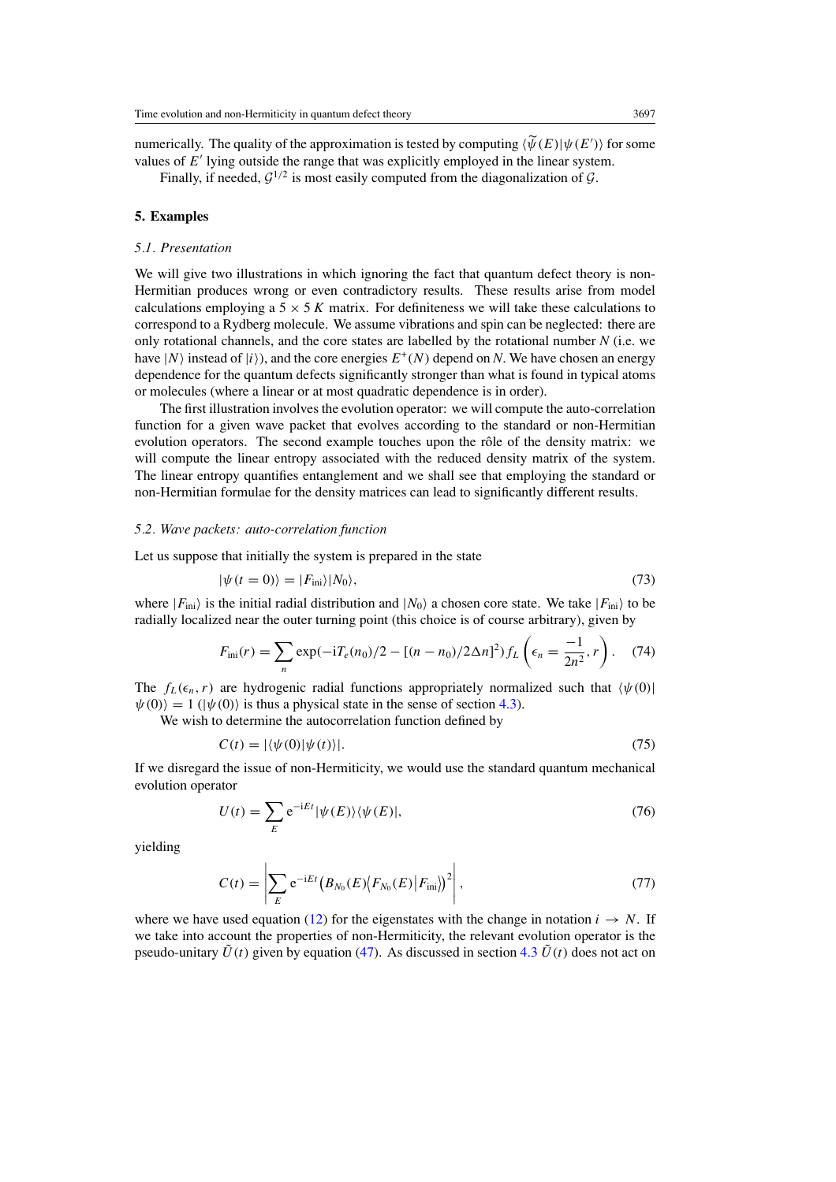<span id="page-10-0"></span>numerically. The quality of the approximation is tested by computing  $\langle \widetilde{\psi}(E) | \psi(E') \rangle$  for some values of  $E'$  lying outside the range that was explicitly employed in the linear system.

Finally, if needed,  $G^{1/2}$  is most easily computed from the diagonalization of  $G$ .

#### **5. Examples**

#### *5.1. Presentation*

We will give two illustrations in which ignoring the fact that quantum defect theory is non-Hermitian produces wrong or even contradictory results. These results arise from model calculations employing a  $5 \times 5 K$  matrix. For definiteness we will take these calculations to correspond to a Rydberg molecule. We assume vibrations and spin can be neglected: there are only rotational channels, and the core states are labelled by the rotational number *N* (i.e. we have  $|N\rangle$  instead of  $|i\rangle$ ), and the core energies  $E^+(N)$  depend on *N*. We have chosen an energy dependence for the quantum defects significantly stronger than what is found in typical atoms or molecules (where a linear or at most quadratic dependence is in order).

The first illustration involves the evolution operator: we will compute the auto-correlation function for a given wave packet that evolves according to the standard or non-Hermitian evolution operators. The second example touches upon the rôle of the density matrix: we will compute the linear entropy associated with the reduced density matrix of the system. The linear entropy quantifies entanglement and we shall see that employing the standard or non-Hermitian formulae for the density matrices can lead to significantly different results.

## *5.2. Wave packets: auto-correlation function*

Let us suppose that initially the system is prepared in the state

$$
|\psi(t=0)\rangle = |F_{\text{ini}}\rangle|N_0\rangle,\tag{73}
$$

where  $|F_{\text{ini}}\rangle$  is the initial radial distribution and  $|N_0\rangle$  a chosen core state. We take  $|F_{\text{ini}}\rangle$  to be radially localized near the outer turning point (this choice is of course arbitrary), given by

$$
F_{\text{ini}}(r) = \sum_{n} \exp(-i T_e(n_0)/2 - [(n - n_0)/2\Delta n]^2) f_L\left(\epsilon_n = \frac{-1}{2n^2}, r\right). \tag{74}
$$

The  $f_L(\epsilon_n, r)$  are hydrogenic radial functions appropriately normalized such that  $\psi(0)$ |  $\psi(0)$  = 1 ( $|\psi(0)\rangle$  is thus a physical state in the sense of section [4.3\)](#page-7-0).

We wish to determine the autocorrelation function defined by

$$
C(t) = |\langle \psi(0) | \psi(t) \rangle|.
$$
\n(75)

If we disregard the issue of non-Hermiticity, we would use the standard quantum mechanical evolution operator

$$
U(t) = \sum_{E} e^{-iEt} |\psi(E)\rangle\langle\psi(E)|,
$$
\n(76)

yielding

$$
C(t) = \left| \sum_{E} e^{-iEt} \left( B_{N_0}(E) \langle F_{N_0}(E) | F_{\text{ini}} \rangle \right)^2 \right|,
$$
\n(77)

where we have used equation [\(12\)](#page-3-0) for the eigenstates with the change in notation  $i \rightarrow N$ . If we take into account the properties of non-Hermiticity, the relevant evolution operator is the pseudo-unitary  $\tilde{U}(t)$  given by equation [\(47\)](#page-6-0). As discussed in section [4.3](#page-7-0)  $\tilde{U}(t)$  does not act on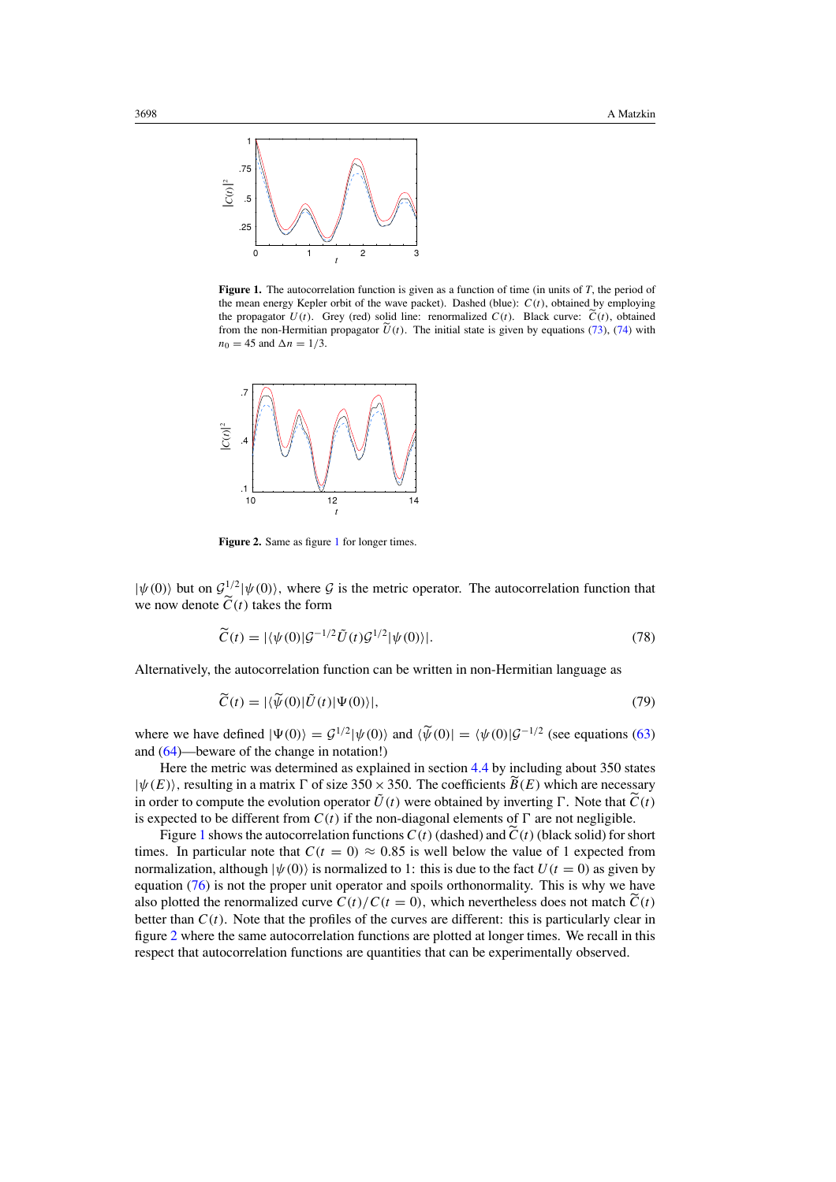

**Figure 1.** The autocorrelation function is given as a function of time (in units of *T*, the period of the mean energy Kepler orbit of the wave packet). Dashed (blue):  $C(t)$ , obtained by employing the propagator  $U(t)$ . Grey (red) solid line: renormalized  $C(t)$ . Black curve:  $\widetilde{C}(t)$ , obtained from the non-Hermitian propagator  $\tilde{U}(t)$ . The initial state is given by equations [\(73\)](#page-10-0), [\(74\)](#page-10-0) with  $n_0 = 45$  and  $\Delta n = 1/3$ .



Figure 2. Same as figure 1 for longer times.

 $|\psi(0)\rangle$  but on  $\mathcal{G}^{1/2}|\psi(0)\rangle$ , where  $\mathcal G$  is the metric operator. The autocorrelation function that we now denote  $\tilde{C}(t)$  takes the form

$$
\widetilde{C}(t) = |\langle \psi(0)|\mathcal{G}^{-1/2}\widetilde{U}(t)\mathcal{G}^{1/2}|\psi(0)\rangle|.
$$
\n(78)

Alternatively, the autocorrelation function can be written in non-Hermitian language as

$$
\widetilde{C}(t) = |\langle \widetilde{\psi}(0)|\widetilde{U}(t)|\Psi(0)\rangle|,\tag{79}
$$

where we have defined  $|\Psi(0)\rangle = \mathcal{G}^{1/2}|\psi(0)\rangle$  and  $\langle \widetilde{\psi}(0)| = \langle \psi(0)|\mathcal{G}^{-1/2}$  (see equations [\(63\)](#page-8-0) and [\(64\)](#page-8-0)—beware of the change in notation!)

Here the metric was determined as explained in section [4.4](#page-9-0) by including about 350 states  $|\psi(E)\rangle$ , resulting in a matrix  $\Gamma$  of size 350  $\times$  350. The coefficients *B(E)* which are necessary in order to compute the evolution operator  $\tilde{U}(t)$  were obtained by inverting  $\Gamma$ . Note that  $\tilde{C}(t)$ is expected to be different from  $C(t)$  if the non-diagonal elements of  $\Gamma$  are not negligible.

Figure 1 shows the autocorrelation functions  $C(t)$  (dashed) and  $\tilde{C}(t)$  (black solid) for short times. In particular note that  $C(t = 0) \approx 0.85$  is well below the value of 1 expected from normalization, although  $|\psi(0)\rangle$  is normalized to 1: this is due to the fact  $U(t = 0)$  as given by equation [\(76\)](#page-10-0) is not the proper unit operator and spoils orthonormality. This is why we have also plotted the renormalized curve  $C(t)/C(t=0)$ , which nevertheless does not match  $\tilde{C}(t)$ better than  $C(t)$ . Note that the profiles of the curves are different: this is particularly clear in figure 2 where the same autocorrelation functions are plotted at longer times. We recall in this respect that autocorrelation functions are quantities that can be experimentally observed.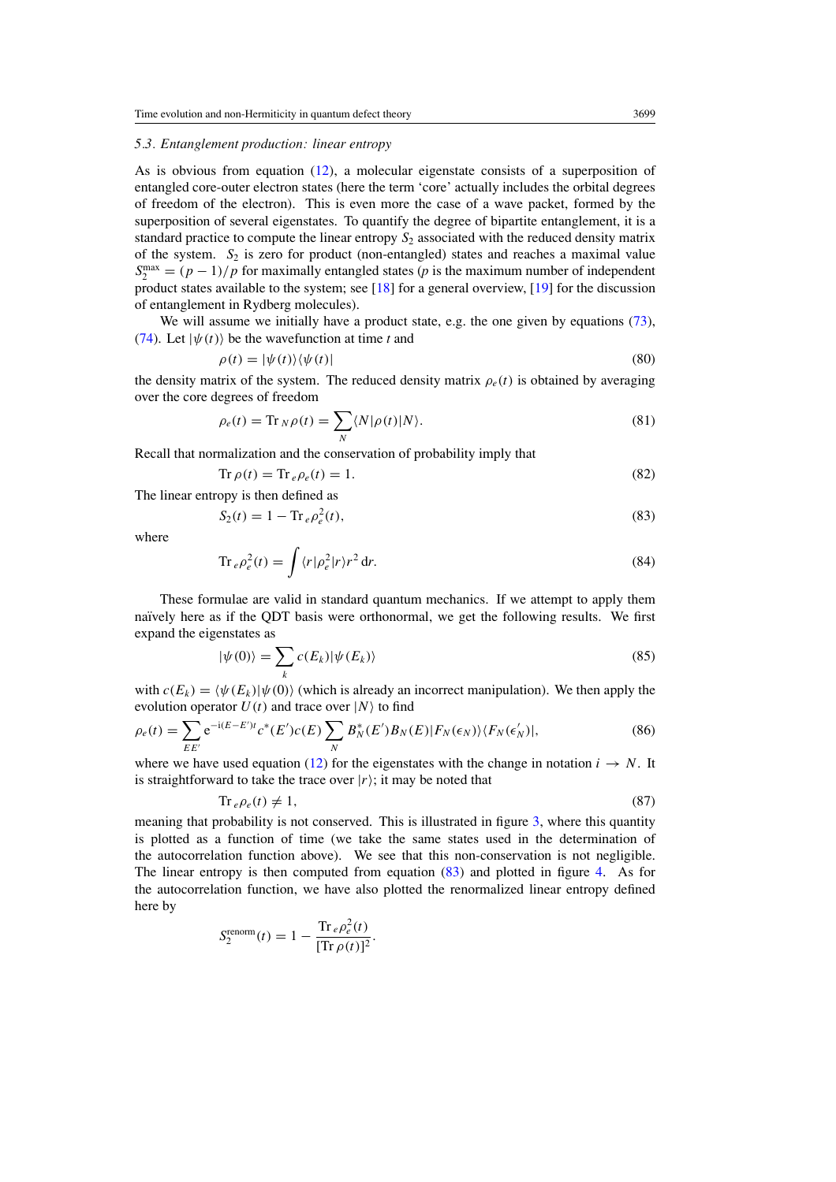#### <span id="page-12-0"></span>*5.3. Entanglement production: linear entropy*

As is obvious from equation [\(12\)](#page-3-0), a molecular eigenstate consists of a superposition of entangled core-outer electron states (here the term 'core' actually includes the orbital degrees of freedom of the electron). This is even more the case of a wave packet, formed by the superposition of several eigenstates. To quantify the degree of bipartite entanglement, it is a standard practice to compute the linear entropy *S*<sup>2</sup> associated with the reduced density matrix of the system. *S*<sup>2</sup> is zero for product (non-entangled) states and reaches a maximal value  $S_2^{\text{max}} = (p-1)/p$  for maximally entangled states (*p* is the maximum number of independent product states available to the system; see [\[18\]](#page-16-0) for a general overview, [\[19](#page-16-0)] for the discussion of entanglement in Rydberg molecules).

We will assume we initially have a product state, e.g. the one given by equations [\(73\)](#page-10-0), [\(74\)](#page-10-0). Let  $|\psi(t)\rangle$  be the wavefunction at time *t* and

$$
\rho(t) = |\psi(t)\rangle\langle\psi(t)|\tag{80}
$$

the density matrix of the system. The reduced density matrix  $\rho_e(t)$  is obtained by averaging over the core degrees of freedom

$$
\rho_e(t) = \text{Tr}_N \rho(t) = \sum_N \langle N|\rho(t)|N\rangle.
$$
\n(81)

Recall that normalization and the conservation of probability imply that

$$
\operatorname{Tr}\rho(t) = \operatorname{Tr}_e \rho_e(t) = 1. \tag{82}
$$

The linear entropy is then defined as

$$
S_2(t) = 1 - \text{Tr}_e \rho_e^2(t),
$$
\n(83)

where

$$
\text{Tr}_e \rho_e^2(t) = \int \langle r | \rho_e^2 | r \rangle r^2 \, \text{d}r. \tag{84}
$$

These formulae are valid in standard quantum mechanics. If we attempt to apply them naïvely here as if the QDT basis were orthonormal, we get the following results. We first expand the eigenstates as

$$
|\psi(0)\rangle = \sum_{k} c(E_k) |\psi(E_k)\rangle
$$
\n(85)

with  $c(E_k) = \langle \psi(E_k) | \psi(0) \rangle$  (which is already an incorrect manipulation). We then apply the evolution operator  $U(t)$  and trace over  $|N\rangle$  to find

$$
\rho_e(t) = \sum_{EE'} e^{-i(E-E')t} c^*(E')c(E) \sum_N B_N^*(E')B_N(E) |F_N(\epsilon_N)\rangle \langle F_N(\epsilon'_N)|,
$$
\n(86)

where we have used equation [\(12\)](#page-3-0) for the eigenstates with the change in notation  $i \rightarrow N$ . It is straightforward to take the trace over  $|r\rangle$ ; it may be noted that

$$
\text{Tr}_e \rho_e(t) \neq 1,\tag{87}
$$

meaning that probability is not conserved. This is illustrated in figure [3,](#page-13-0) where this quantity is plotted as a function of time (we take the same states used in the determination of the autocorrelation function above). We see that this non-conservation is not negligible. The linear entropy is then computed from equation (83) and plotted in figure [4.](#page-13-0) As for the autocorrelation function, we have also plotted the renormalized linear entropy defined here by

$$
S_2^{\text{renorm}}(t) = 1 - \frac{\text{Tr}_e \rho_e^2(t)}{[\text{Tr}\,\rho(t)]^2}.
$$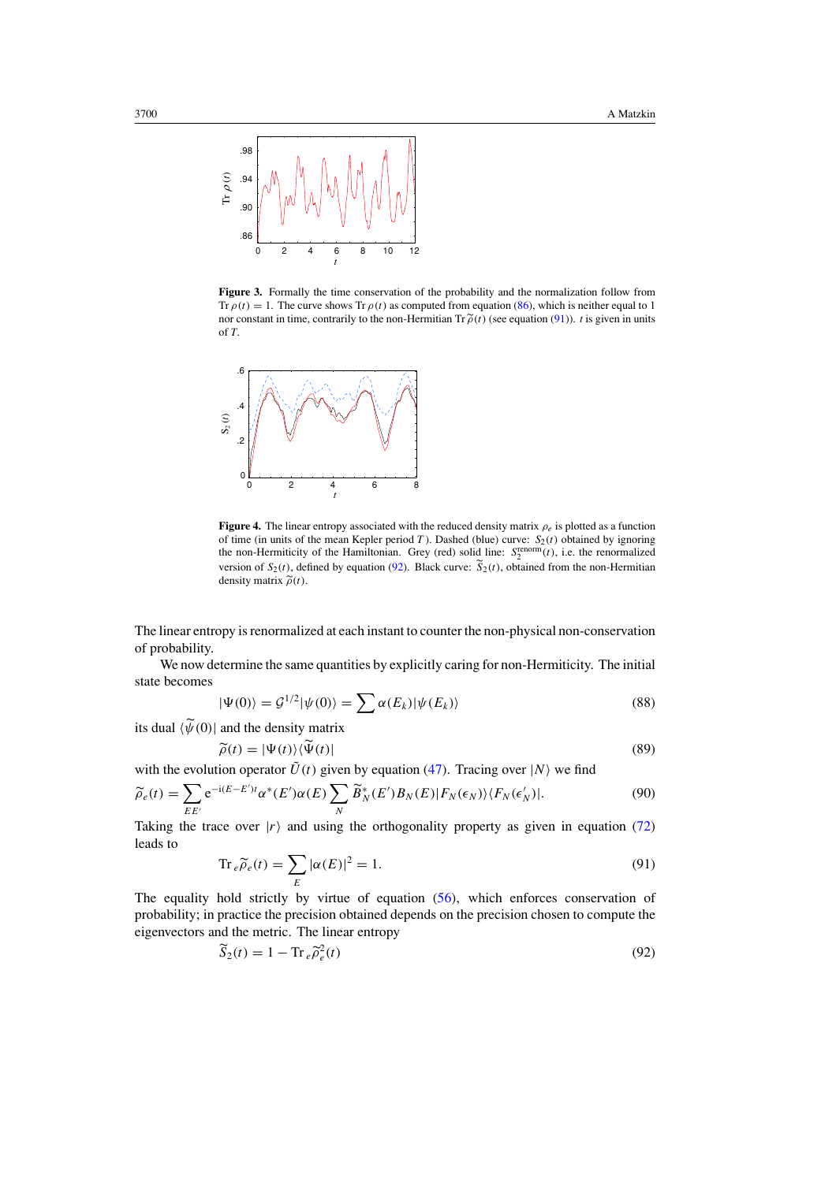<span id="page-13-0"></span>

**Figure 3.** Formally the time conservation of the probability and the normalization follow from Tr  $\rho(t) = 1$ . The curve shows Tr  $\rho(t)$  as computed from equation [\(86\)](#page-12-0), which is neither equal to 1 nor constant in time, contrarily to the non-Hermitian Tr  $\tilde{\rho}(t)$  (see equation (91)). *t* is given in units of *T*.



**Figure 4.** The linear entropy associated with the reduced density matrix *ρe* is plotted as a function of time (in units of the mean Kepler period *T*). Dashed (blue) curve:  $S_2(t)$  obtained by ignoring the non-Hermiticity of the Hamiltonian. Grey (red) solid line:  $S_2^{\text{renorm}}(t)$ , i.e. the renormalized version of  $S_2(t)$ , defined by equation (92). Black curve:  $\widetilde{S}_2(t)$ , obtained from the non-Hermitian density matrix  $\tilde{\rho}(t)$ .

The linear entropy is renormalized at each instant to counter the non-physical non-conservation of probability.

We now determine the same quantities by explicitly caring for non-Hermiticity. The initial state becomes

$$
|\Psi(0)\rangle = \mathcal{G}^{1/2}|\psi(0)\rangle = \sum \alpha(E_k)|\psi(E_k)\rangle
$$
\n(88)

its dual  $\langle \widetilde{\psi}(0) |$  and the density matrix

$$
\widetilde{\rho}(t) = |\Psi(t)\rangle\langle\widetilde{\Psi}(t)|\tag{89}
$$

with the evolution operator  $\tilde{U}(t)$  given by equation [\(47\)](#page-6-0). Tracing over  $|N\rangle$  we find

$$
\widetilde{\rho}_e(t) = \sum_{E E'} e^{-i(E - E')t} \alpha^*(E') \alpha(E) \sum_N \widetilde{B}_N^*(E') B_N(E) |F_N(\epsilon_N)\rangle \langle F_N(\epsilon'_N)|. \tag{90}
$$

Taking the trace over  $|r\rangle$  and using the orthogonality property as given in equation [\(72\)](#page-9-0) leads to

$$
\operatorname{Tr}\,e\widetilde{\rho}_e(t) = \sum_E |\alpha(E)|^2 = 1. \tag{91}
$$

The equality hold strictly by virtue of equation [\(56\)](#page-8-0), which enforces conservation of probability; in practice the precision obtained depends on the precision chosen to compute the eigenvectors and the metric. The linear entropy

$$
\widetilde{S}_2(t) = 1 - \text{Tr}_e \widetilde{\rho}_e^2(t) \tag{92}
$$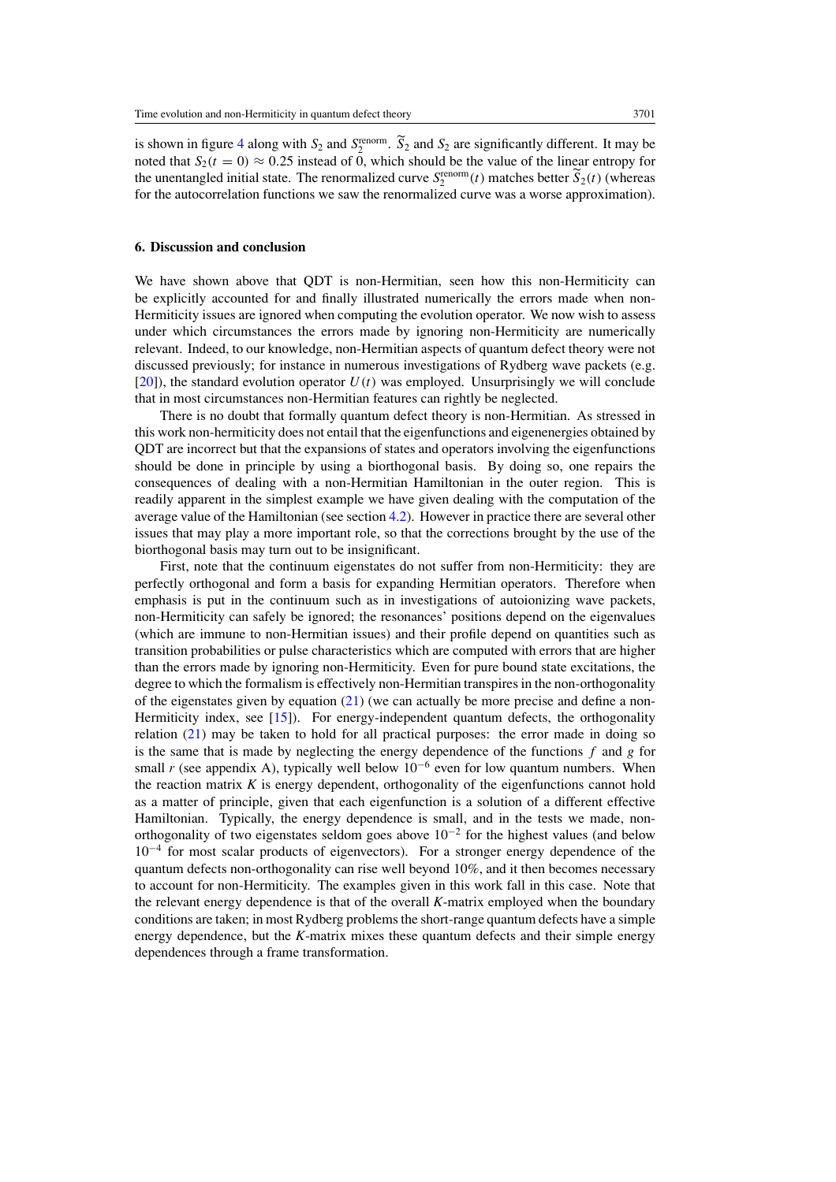<span id="page-14-0"></span>is shown in figure [4](#page-13-0) along with  $S_2$  and  $S_2$ <sup>renorm</sup>.  $\widetilde{S}_2$  and  $S_2$  are significantly different. It may be noted that  $S_2(t=0) \approx 0.25$  instead of 0, which should be the value of the linear entropy for the unentangled initial state. The renormalized curve  $S_2^{\text{renorm}}(t)$  matches better  $\tilde{S}_2(t)$  (whereas for the autocorrelation functions we saw the renormalized curve was a worse approximation).

#### **6. Discussion and conclusion**

We have shown above that QDT is non-Hermitian, seen how this non-Hermiticity can be explicitly accounted for and finally illustrated numerically the errors made when non-Hermiticity issues are ignored when computing the evolution operator. We now wish to assess under which circumstances the errors made by ignoring non-Hermiticity are numerically relevant. Indeed, to our knowledge, non-Hermitian aspects of quantum defect theory were not discussed previously; for instance in numerous investigations of Rydberg wave packets (e.g. [\[20](#page-16-0)]), the standard evolution operator  $U(t)$  was employed. Unsurprisingly we will conclude that in most circumstances non-Hermitian features can rightly be neglected.

There is no doubt that formally quantum defect theory is non-Hermitian. As stressed in this work non-hermiticity does not entail that the eigenfunctions and eigenenergies obtained by QDT are incorrect but that the expansions of states and operators involving the eigenfunctions should be done in principle by using a biorthogonal basis. By doing so, one repairs the consequences of dealing with a non-Hermitian Hamiltonian in the outer region. This is readily apparent in the simplest example we have given dealing with the computation of the average value of the Hamiltonian (see section [4.2\)](#page-6-0). However in practice there are several other issues that may play a more important role, so that the corrections brought by the use of the biorthogonal basis may turn out to be insignificant.

First, note that the continuum eigenstates do not suffer from non-Hermiticity: they are perfectly orthogonal and form a basis for expanding Hermitian operators. Therefore when emphasis is put in the continuum such as in investigations of autoionizing wave packets, non-Hermiticity can safely be ignored; the resonances' positions depend on the eigenvalues (which are immune to non-Hermitian issues) and their profile depend on quantities such as transition probabilities or pulse characteristics which are computed with errors that are higher than the errors made by ignoring non-Hermiticity. Even for pure bound state excitations, the degree to which the formalism is effectively non-Hermitian transpires in the non-orthogonality of the eigenstates given by equation  $(21)$  (we can actually be more precise and define a non-Hermiticity index, see [\[15\]](#page-16-0)). For energy-independent quantum defects, the orthogonality relation [\(21\)](#page-4-0) may be taken to hold for all practical purposes: the error made in doing so is the same that is made by neglecting the energy dependence of the functions  $f$  and  $g$  for small *r* (see appendix A), typically well below  $10^{-6}$  even for low quantum numbers. When the reaction matrix  $K$  is energy dependent, orthogonality of the eigenfunctions cannot hold as a matter of principle, given that each eigenfunction is a solution of a different effective Hamiltonian. Typically, the energy dependence is small, and in the tests we made, nonorthogonality of two eigenstates seldom goes above  $10^{-2}$  for the highest values (and below 10<sup>−</sup><sup>4</sup> for most scalar products of eigenvectors). For a stronger energy dependence of the quantum defects non-orthogonality can rise well beyond 10%, and it then becomes necessary to account for non-Hermiticity. The examples given in this work fall in this case. Note that the relevant energy dependence is that of the overall *K*-matrix employed when the boundary conditions are taken; in most Rydberg problems the short-range quantum defects have a simple energy dependence, but the *K*-matrix mixes these quantum defects and their simple energy dependences through a frame transformation.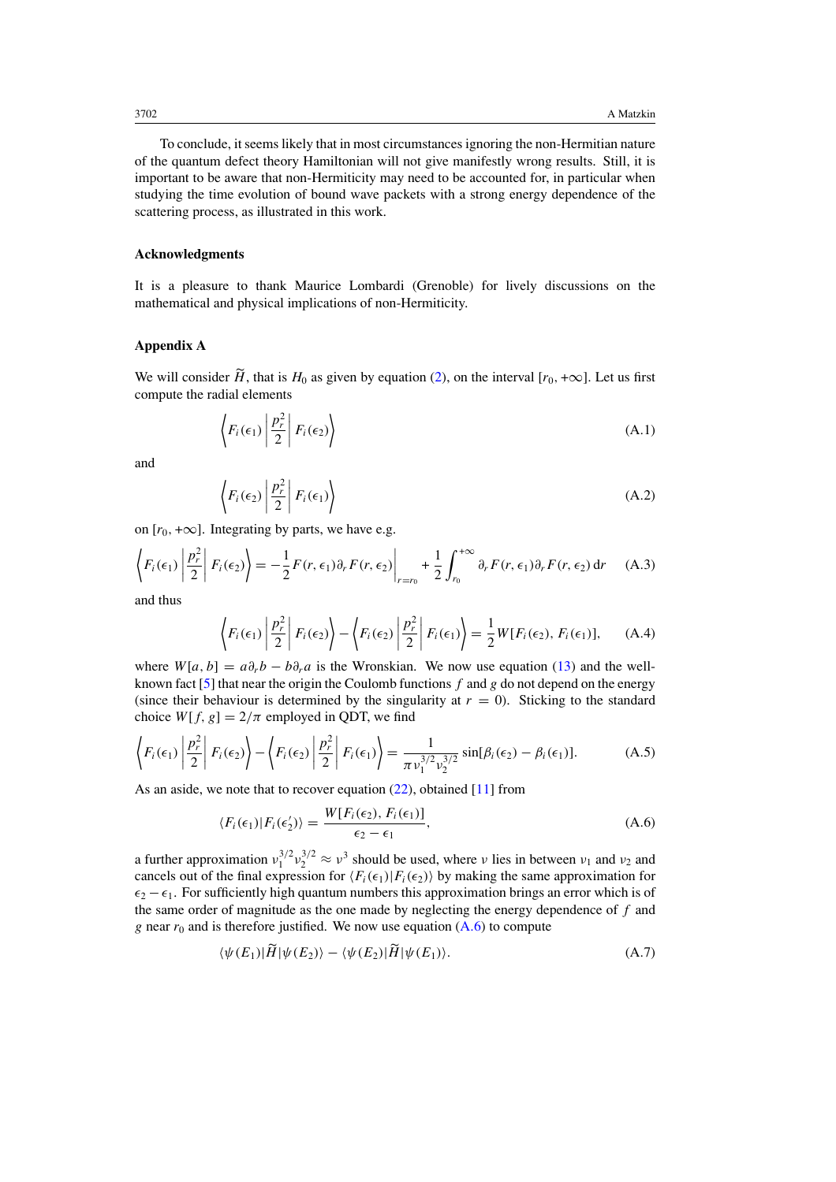<span id="page-15-0"></span>To conclude, it seems likely that in most circumstances ignoring the non-Hermitian nature of the quantum defect theory Hamiltonian will not give manifestly wrong results. Still, it is important to be aware that non-Hermiticity may need to be accounted for, in particular when studying the time evolution of bound wave packets with a strong energy dependence of the scattering process, as illustrated in this work.

#### **Acknowledgments**

It is a pleasure to thank Maurice Lombardi (Grenoble) for lively discussions on the mathematical and physical implications of non-Hermiticity.

## **Appendix A**

We will consider  $\widetilde{H}$ , that is  $H_0$  as given by equation [\(2\)](#page-2-0), on the interval  $[r_0, +\infty]$ . Let us first compute the radial elements

$$
\left\langle F_i(\epsilon_1) \left| \frac{p_r^2}{2} \right| F_i(\epsilon_2) \right\rangle \tag{A.1}
$$

and

$$
\left\langle F_i(\epsilon_2) \left| \frac{p_r^2}{2} \right| F_i(\epsilon_1) \right\rangle \tag{A.2}
$$

on  $[r_0, +\infty]$ . Integrating by parts, we have e.g.

$$
\left\langle F_i(\epsilon_1) \left| \frac{p_r^2}{2} \right| F_i(\epsilon_2) \right\rangle = -\frac{1}{2} F(r, \epsilon_1) \partial_r F(r, \epsilon_2) \Big|_{r=r_0} + \frac{1}{2} \int_{r_0}^{+\infty} \partial_r F(r, \epsilon_1) \partial_r F(r, \epsilon_2) dr \tag{A.3}
$$

and thus

$$
\left\langle F_i(\epsilon_1) \left| \frac{p_r^2}{2} \right| F_i(\epsilon_2) \right\rangle - \left\langle F_i(\epsilon_2) \left| \frac{p_r^2}{2} \right| F_i(\epsilon_1) \right\rangle = \frac{1}{2} W[F_i(\epsilon_2), F_i(\epsilon_1)], \quad (A.4)
$$

where  $W[a, b] = a\partial_r b - b\partial_r a$  is the Wronskian. We now use equation [\(13\)](#page-3-0) and the wellknown fact [\[5\]](#page-16-0) that near the origin the Coulomb functions *f* and *g* do not depend on the energy (since their behaviour is determined by the singularity at  $r = 0$ ). Sticking to the standard choice  $W[f, g] = 2/\pi$  employed in QDT, we find

$$
\left\langle F_i(\epsilon_1) \left| \frac{p_r^2}{2} \right| F_i(\epsilon_2) \right\rangle - \left\langle F_i(\epsilon_2) \left| \frac{p_r^2}{2} \right| F_i(\epsilon_1) \right\rangle = \frac{1}{\pi v_1^{3/2} v_2^{3/2}} \sin[\beta_i(\epsilon_2) - \beta_i(\epsilon_1)]. \tag{A.5}
$$

As an aside, we note that to recover equation  $(22)$ , obtained [\[11\]](#page-16-0) from

$$
\langle F_i(\epsilon_1) | F_i(\epsilon_2') \rangle = \frac{W[F_i(\epsilon_2), F_i(\epsilon_1)]}{\epsilon_2 - \epsilon_1}, \tag{A.6}
$$

a further approximation  $v_1^{3/2} v_2^{3/2} \approx v^3$  should be used, where *ν* lies in between  $v_1$  and  $v_2$  and cancels out of the final expression for  $\langle F_i(\epsilon_1)|F_i(\epsilon_2)\rangle$  by making the same approximation for  $\epsilon_2 - \epsilon_1$ . For sufficiently high quantum numbers this approximation brings an error which is of the same order of magnitude as the one made by neglecting the energy dependence of *f* and *g* near  $r_0$  and is therefore justified. We now use equation  $(A.6)$  to compute

$$
\langle \psi(E_1)|H|\psi(E_2)\rangle - \langle \psi(E_2)|H|\psi(E_1)\rangle.
$$
 (A.7)